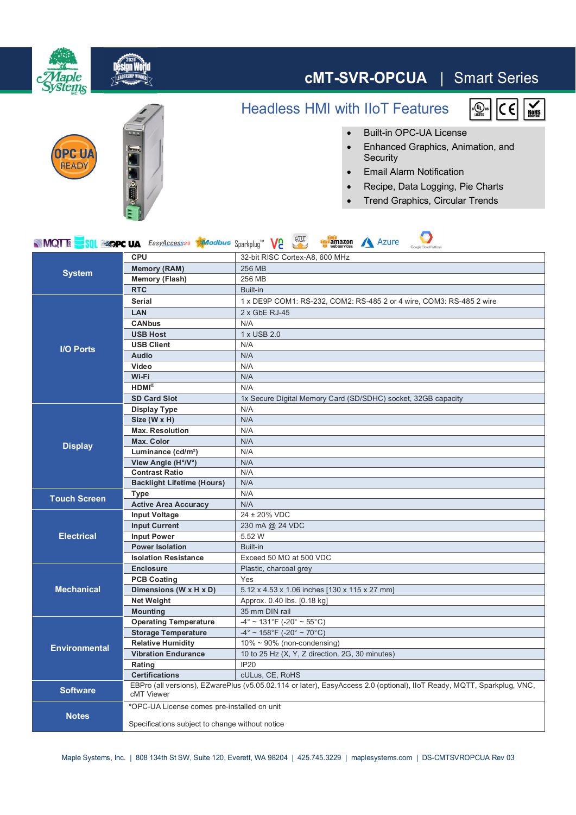

Specifications subject to change without notice